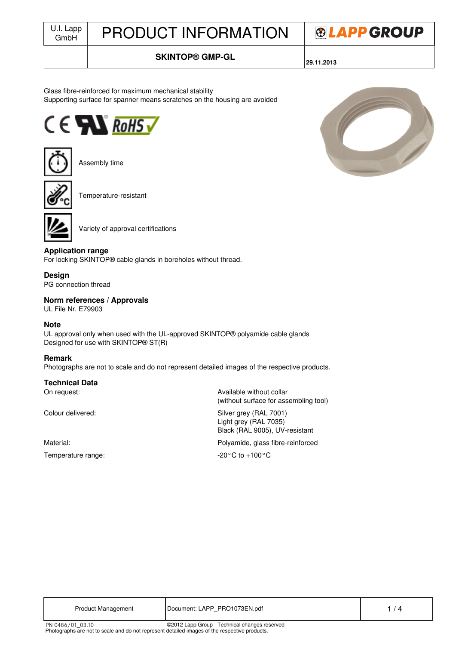# J.I. Lapp | PRODUCT INFORMATION



## **SKINTOP® GMP-GL**

**29.11.2013**

#### Glass fibre-reinforced for maximum mechanical stability Supporting surface for spanner means scratches on the housing are avoided





Assembly time



Temperature-resistant



Variety of approval certifications

### **Application range**

For locking SKINTOP® cable glands in boreholes without thread.

#### **Design**

PG connection thread

#### **Norm references / Approvals**

UL File Nr. E79903

#### **Note**

UL approval only when used with the UL-approved SKINTOP® polyamide cable glands Designed for use with SKINTOP® ST(R)

#### **Remark**

Photographs are not to scale and do not represent detailed images of the respective products.

#### **Technical Data**

Temperature range:  $-20^{\circ}$ C to +100°C

On request:  $\blacksquare$ (without surface for assembling tool)

Colour delivered: Colour delivered: Silver grey (RAL 7001) Light grey (RAL 7035) Black (RAL 9005), UV-resistant

Material: Polyamide, glass fibre-reinforced

| <b>Product Management</b> | Document: LAPP PRO1073EN.pdf                  |  |
|---------------------------|-----------------------------------------------|--|
| PN 0486/01 03.10          | ©2012 Lapp Group - Technical changes reserved |  |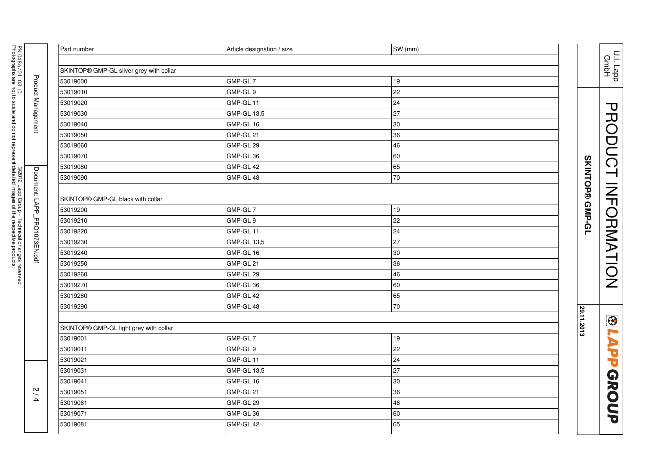|                                          | Part number                             | Article designation / size | SW (mm) |                                        |
|------------------------------------------|-----------------------------------------|----------------------------|---------|----------------------------------------|
| PN 0486/01_03.10                         |                                         |                            |         | U.I. Lapp<br>GmbH                      |
|                                          | SKINTOP® GMP-GL silver grey with collar |                            |         |                                        |
|                                          | 53019000                                | GMP-GL 7                   | 19      |                                        |
|                                          | 53019010                                | GMP-GL 9                   | 22      |                                        |
|                                          | 53019020                                | GMP-GL 11                  | 24      |                                        |
|                                          | 53019030                                | GMP-GL 13,5                | 27      |                                        |
| <b>Product Management</b>                | 53019040                                | GMP-GL 16                  | 30      |                                        |
|                                          | 53019050                                | GMP-GL 21                  | 36      |                                        |
|                                          | 53019060                                | GMP-GL 29                  | 46      |                                        |
|                                          | 53019070                                | GMP-GL 36                  | 60      |                                        |
|                                          | 53019080                                | GMP-GL 42                  | 65      |                                        |
| Document: LAPP.<br>©2012 Lapp Group -    | 53019090                                | GMP-GL 48                  | 70      | PRODUCT INFORMATION<br>SKINTOP® GMP-GL |
|                                          |                                         |                            |         |                                        |
|                                          | SKINTOP® GMP-GL black with collar       |                            |         |                                        |
|                                          | 53019200                                | GMP-GL 7                   | 19      |                                        |
|                                          | 53019210                                | GMP-GL 9                   | 22      |                                        |
|                                          | 53019220                                | GMP-GL 11                  | 24      |                                        |
| PRO1073EN.pdf                            | 53019230                                | GMP-GL 13,5                | 27      |                                        |
|                                          | 53019240                                | GMP-GL 16                  | 30      |                                        |
| Technical changes reserved               | 53019250                                | GMP-GL 21                  | 36      |                                        |
|                                          | 53019260                                | GMP-GL 29                  | 46      |                                        |
|                                          | 53019270                                | GMP-GL 36                  | 60      |                                        |
|                                          | 53019280                                | GMP-GL 42                  | 65      |                                        |
|                                          | 53019290                                | GMP-GL 48                  | 70      |                                        |
|                                          |                                         |                            |         | 29.11.2013<br>$\bigcirc$               |
|                                          | SKINTOP® GMP-GL light grey with collar  |                            |         |                                        |
|                                          | 53019001                                | GMP-GL 7                   | 19      |                                        |
|                                          | 53019011                                | GMP-GL 9                   | 22      |                                        |
|                                          | 53019021                                | GMP-GL 11                  | 24      | <b>LAPP</b>                            |
|                                          | 53019031                                | GMP-GL 13,5                | 27      |                                        |
|                                          | 53019041                                | GMP-GL 16                  | 30      |                                        |
| $\mathbf{v}$<br>$\overline{\phantom{0}}$ | 53019051                                | GMP-GL 21                  | 36      |                                        |
| $\rightarrow$                            | 53019061                                | GMP-GL 29                  | 46      |                                        |
|                                          | 53019071                                | GMP-GL 36                  | 60      | GROUP                                  |
|                                          | 53019081                                | GMP-GL 42                  | 65      |                                        |
|                                          |                                         |                            |         |                                        |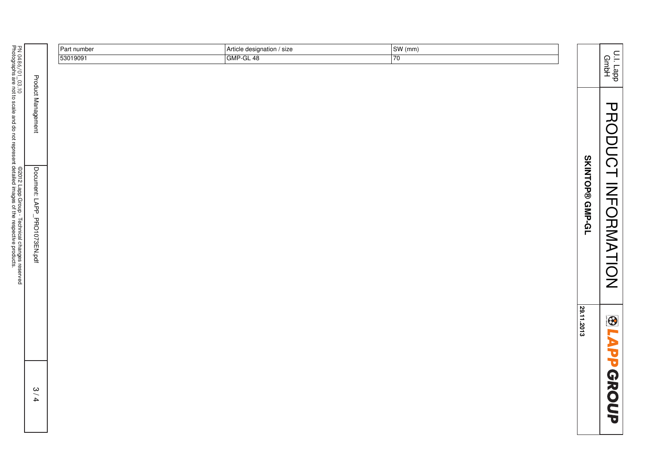|                                               |                              | Part number | Article designation / size | SW(mm)          |                 |                    |
|-----------------------------------------------|------------------------------|-------------|----------------------------|-----------------|-----------------|--------------------|
|                                               |                              | 53019091    | GMP-GL 48                  | $\overline{70}$ |                 |                    |
|                                               |                              |             |                            |                 |                 | U.I. Lapp<br>GmbH  |
| PN 0486/01_03.10                              |                              |             |                            |                 |                 |                    |
|                                               |                              |             |                            |                 |                 |                    |
|                                               |                              |             |                            |                 |                 |                    |
|                                               | <b>Product Management</b>    |             |                            |                 |                 |                    |
|                                               |                              |             |                            |                 |                 |                    |
|                                               |                              |             |                            |                 |                 |                    |
|                                               |                              |             |                            |                 |                 |                    |
|                                               |                              |             |                            |                 |                 |                    |
|                                               |                              |             |                            |                 |                 | <b>PRODUCT</b>     |
|                                               |                              |             |                            |                 |                 |                    |
|                                               |                              |             |                            |                 | SKINTOP® GMP-GL |                    |
|                                               |                              |             |                            |                 |                 |                    |
|                                               |                              |             |                            |                 |                 |                    |
| ©2012 Lapp Group - Technical changes reserved | Document: LAPP_PRO1073EN.pdf |             |                            |                 |                 |                    |
|                                               |                              |             |                            |                 |                 |                    |
|                                               |                              |             |                            |                 |                 |                    |
|                                               |                              |             |                            |                 |                 | <b>INFORMATION</b> |
|                                               |                              |             |                            |                 |                 |                    |
|                                               |                              |             |                            |                 |                 |                    |
|                                               |                              |             |                            |                 |                 |                    |
|                                               |                              |             |                            |                 |                 | $\bigcirc$         |
|                                               |                              |             |                            |                 | 29.11.2013      |                    |
|                                               |                              |             |                            |                 |                 |                    |
|                                               |                              |             |                            |                 |                 |                    |
|                                               |                              |             |                            |                 |                 |                    |
|                                               |                              |             |                            |                 |                 |                    |
|                                               | 3/4                          |             |                            |                 |                 |                    |
|                                               |                              |             |                            |                 |                 |                    |
|                                               |                              |             |                            |                 |                 | <b>LAPP GROUP</b>  |
|                                               |                              |             |                            |                 |                 |                    |
|                                               |                              |             |                            |                 |                 |                    |